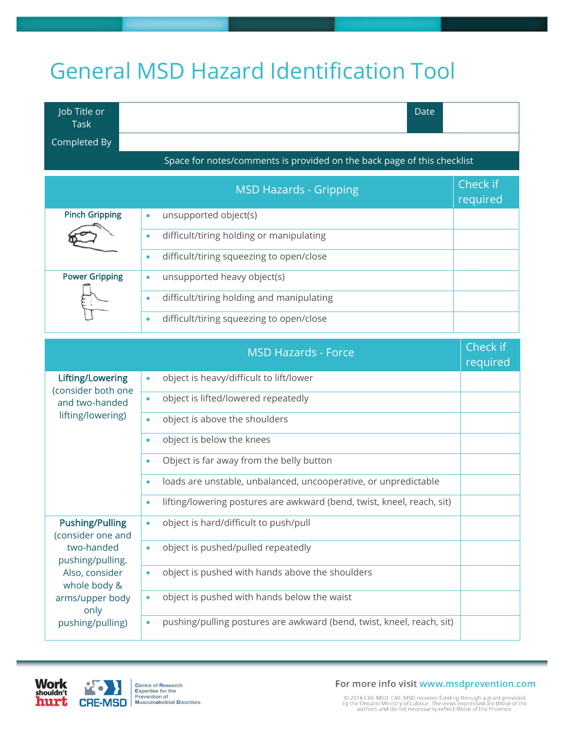## General MSD Hazard Identification Tool

| Job Title or                                                            |  | Date |
|-------------------------------------------------------------------------|--|------|
| $\mathsf{Task}^{\mathsf{T}}$                                            |  |      |
| Completed By                                                            |  |      |
| Space for notes/comments is provided on the back page of this checklist |  |      |

|                       | <b>MSD Hazards - Gripping</b>                          | Check if<br>required |
|-----------------------|--------------------------------------------------------|----------------------|
| <b>Pinch Gripping</b> | unsupported object(s)<br>$\bullet$                     |                      |
|                       | difficult/tiring holding or manipulating<br>$\bullet$  |                      |
|                       | difficult/tiring squeezing to open/close<br>$\bullet$  |                      |
| <b>Power Gripping</b> | unsupported heavy object(s)<br>$\bullet$               |                      |
|                       | difficult/tiring holding and manipulating<br>$\bullet$ |                      |
|                       | difficult/tiring squeezing to open/close<br>$\bullet$  |                      |

|                                                                               | <b>MSD Hazards - Force</b>                                                          | Check if<br>required |
|-------------------------------------------------------------------------------|-------------------------------------------------------------------------------------|----------------------|
| Lifting/Lowering<br>(consider both one<br>and two-handed<br>lifting/lowering) | object is heavy/difficult to lift/lower<br>$\bullet$                                |                      |
|                                                                               | object is lifted/lowered repeatedly<br>$\bullet$                                    |                      |
|                                                                               | object is above the shoulders<br>$\bullet$                                          |                      |
|                                                                               | object is below the knees<br>۰                                                      |                      |
|                                                                               | Object is far away from the belly button<br>۰                                       |                      |
|                                                                               | loads are unstable, unbalanced, uncooperative, or unpredictable<br>۰                |                      |
|                                                                               | lifting/lowering postures are awkward (bend, twist, kneel, reach, sit)<br>$\bullet$ |                      |
| <b>Pushing/Pulling</b><br>(consider one and                                   | object is hard/difficult to push/pull<br>$\bullet$                                  |                      |
| two-handed<br>pushing/pulling.                                                | object is pushed/pulled repeatedly<br>$\bullet$                                     |                      |
| Also, consider<br>whole body &                                                | object is pushed with hands above the shoulders<br>$\bullet$                        |                      |
| arms/upper body<br>only                                                       | object is pushed with hands below the waist<br>$\bullet$                            |                      |
| pushing/pulling)                                                              | pushing/pulling postures are awkward (bend, twist, kneel, reach, sit)<br>$\bullet$  |                      |





For more info visit www.msdprevention.com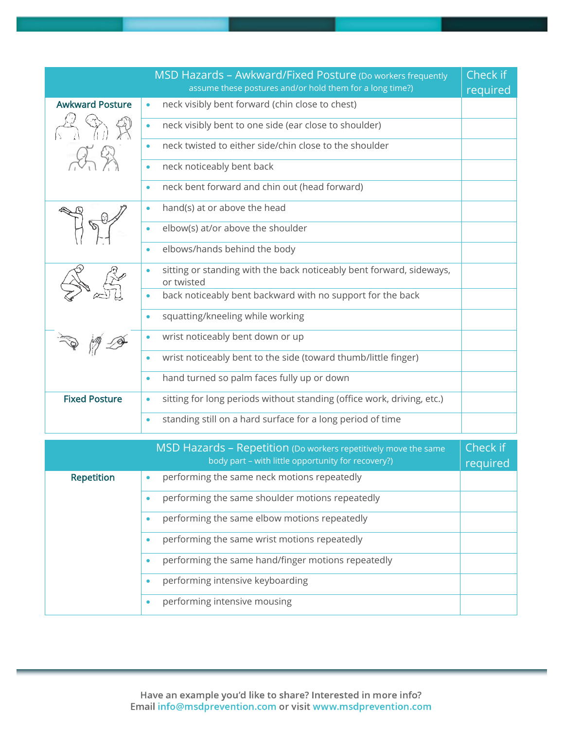|                        | MSD Hazards - Awkward/Fixed Posture (Do workers frequently<br>assume these postures and/or hold them for a long time?) | Check if<br>required |
|------------------------|------------------------------------------------------------------------------------------------------------------------|----------------------|
| <b>Awkward Posture</b> | neck visibly bent forward (chin close to chest)<br>$\bullet$                                                           |                      |
| 25%                    | neck visibly bent to one side (ear close to shoulder)<br>$\bullet$                                                     |                      |
|                        | neck twisted to either side/chin close to the shoulder<br>$\bullet$                                                    |                      |
|                        | neck noticeably bent back<br>$\bullet$                                                                                 |                      |
|                        | neck bent forward and chin out (head forward)<br>$\bullet$                                                             |                      |
|                        | hand(s) at or above the head<br>$\bullet$                                                                              |                      |
|                        | elbow(s) at/or above the shoulder<br>$\bullet$                                                                         |                      |
|                        | elbows/hands behind the body<br>$\bullet$                                                                              |                      |
|                        | sitting or standing with the back noticeably bent forward, sideways,<br>$\bullet$<br>or twisted                        |                      |
|                        | back noticeably bent backward with no support for the back<br>$\bullet$                                                |                      |
|                        | squatting/kneeling while working<br>$\bullet$                                                                          |                      |
|                        | wrist noticeably bent down or up<br>$\bullet$                                                                          |                      |
|                        | wrist noticeably bent to the side (toward thumb/little finger)<br>$\bullet$                                            |                      |
|                        | hand turned so palm faces fully up or down<br>$\bullet$                                                                |                      |
| <b>Fixed Posture</b>   | sitting for long periods without standing (office work, driving, etc.)<br>$\bullet$                                    |                      |
|                        | standing still on a hard surface for a long period of time<br>$\bullet$                                                |                      |
|                        | MSD Hazards - Repetition (Do workers repetitively move the same<br>body part - with little opportunity for recovery?)  | Check if<br>required |
| <b>Repetition</b>      | performing the same neck motions repeatedly                                                                            |                      |
|                        | performing the same shoulder motions repeatedly<br>$\bullet$                                                           |                      |
|                        | performing the same elbow motions repeatedly<br>$\bullet$                                                              |                      |
|                        | performing the same wrist motions repeatedly<br>$\bullet$                                                              |                      |
|                        | performing the same hand/finger motions repeatedly<br>$\bullet$                                                        |                      |
|                        | performing intensive keyboarding<br>$\bullet$                                                                          |                      |

• performing intensive mousing